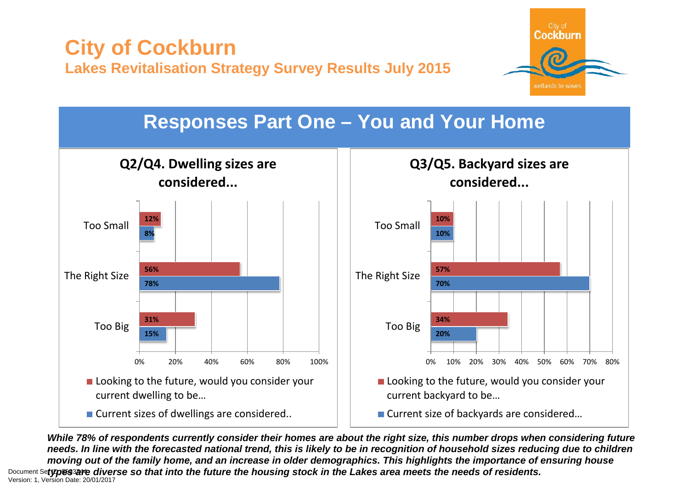

# **Responses Part One – You and Your Home**



**Q3/Q5. Backyard sizes are considered...**



■ Current size of backyards are considered...

*While 78% of respondents currently consider their homes are about the right size, this number drops when considering future needs. In line with the forecasted national trend, this is likely to be in recognition of household sizes reducing due to children moving out of the family home, and an increase in older demographics. This highlights the importance of ensuring house*  Document Se**typ⊛sзare diverse so that into the future the housing stock in the Lakes area meets the needs of residents.<br>Version: 1, Version Date: 20/01/2017**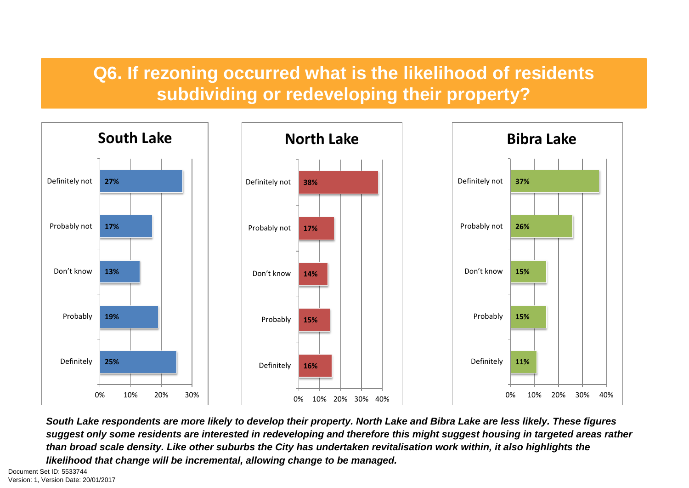# **Q6. If rezoning occurred what is the likelihood of residents subdividing or redeveloping their property?**



*South Lake respondents are more likely to develop their property. North Lake and Bibra Lake are less likely. These figures suggest only some residents are interested in redeveloping and therefore this might suggest housing in targeted areas rather than broad scale density. Like other suburbs the City has undertaken revitalisation work within, it also highlights the likelihood that change will be incremental, allowing change to be managed.*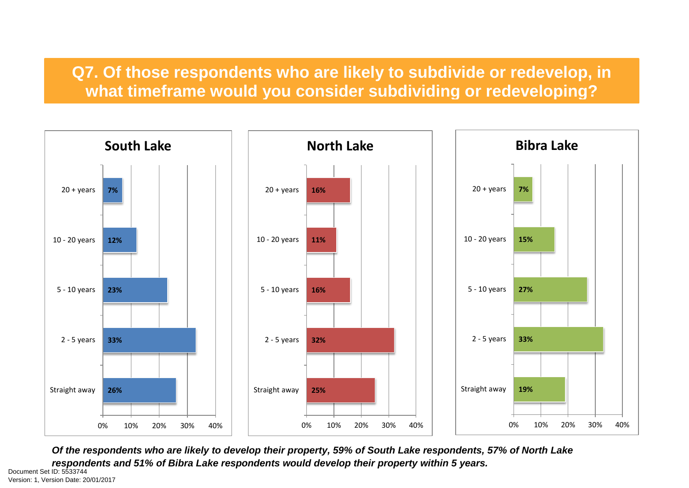#### **Q7. Of those respondents who are likely to subdivide or redevelop, in what timeframe would you consider subdividing or redeveloping?**



*Of the respondents who are likely to develop their property, 59% of South Lake respondents, 57% of North Lake respondents and 51% of Bibra Lake respondents would develop their property within 5 years.* 

Version: 1, Version Date: 20/01/2017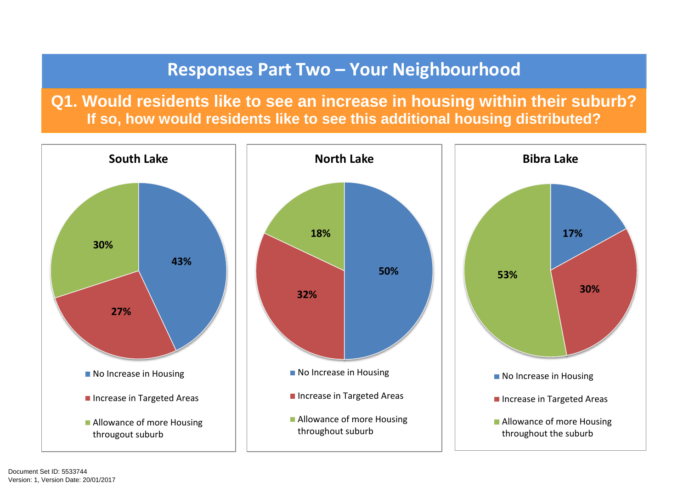## **Responses Part Two – Your Neighbourhood**

**Q1. Would residents like to see an increase in housing within their suburb? If so, how would residents like to see this additional housing distributed?**

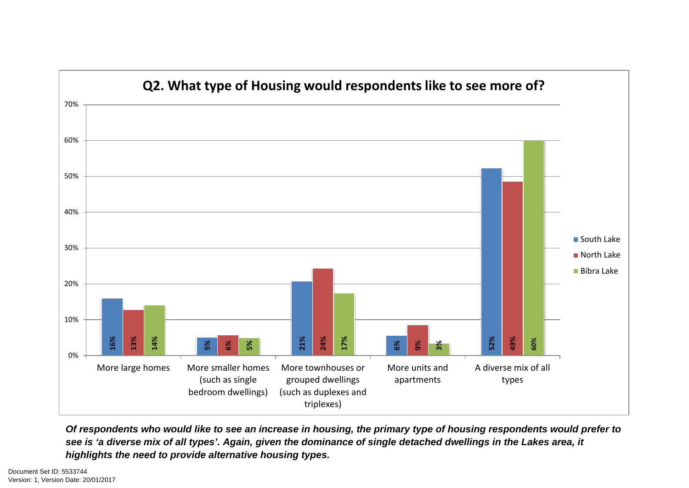

*Of respondents who would like to see an increase in housing, the primary type of housing respondents would prefer to see is 'a diverse mix of all types'. Again, given the dominance of single detached dwellings in the Lakes area, it highlights the need to provide alternative housing types.*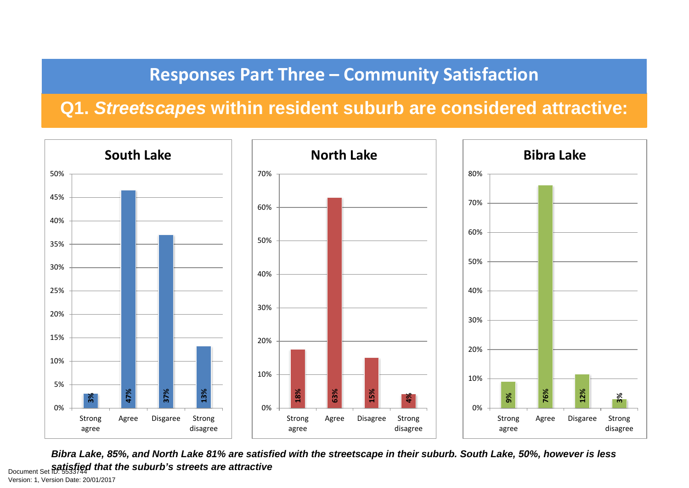# **Responses Part Three – Community Satisfaction**

# **Q1.** *Streetscapes* **within resident suburb are considered attractive:**



*Bibra Lake, 85%, and North Lake 81% are satisfied with the streetscape in their suburb. South Lake, 50%, however is less*  **Document Set ID: 5533744 that the suburb's streets are attractive<br>Version: 1, Version Date: 20/01/2017**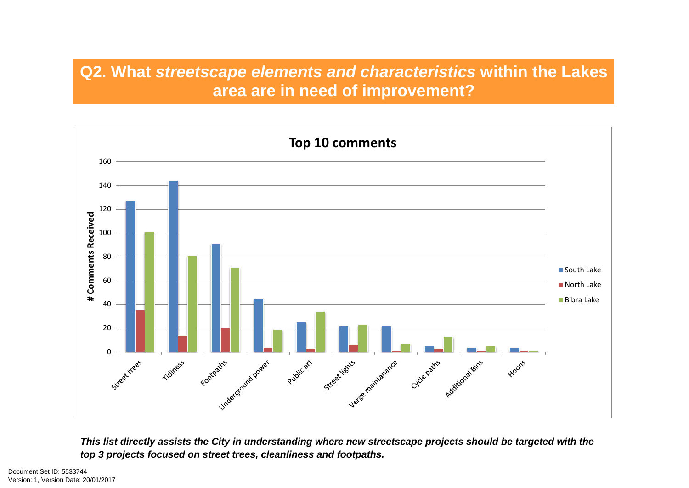## **Q2. What** *streetscape elements and characteristics* **within the Lakes area are in need of improvement?**



*This list directly assists the City in understanding where new streetscape projects should be targeted with the top 3 projects focused on street trees, cleanliness and footpaths.*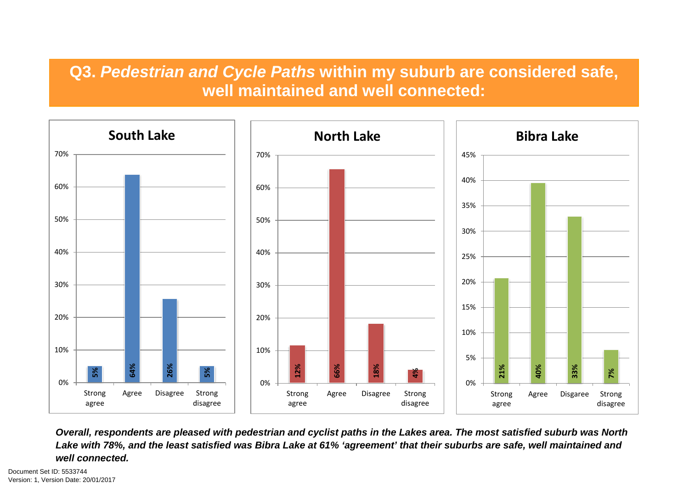#### **Q3.** *Pedestrian and Cycle Paths* **within my suburb are considered safe, well maintained and well connected:**



*Overall, respondents are pleased with pedestrian and cyclist paths in the Lakes area. The most satisfied suburb was North Lake with 78%, and the least satisfied was Bibra Lake at 61% 'agreement' that their suburbs are safe, well maintained and well connected.*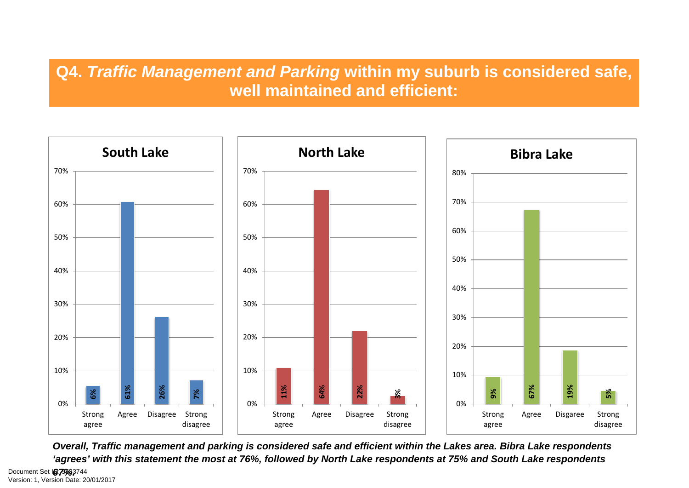#### **Q4.** *Traffic Management and Parking* **within my suburb is considered safe, well maintained and efficient:**



*Overall, Traffic management and parking is considered safe and efficient within the Lakes area. Bibra Lake respondents 'agrees' with this statement the most at 76%, followed by North Lake respondents at 75% and South Lake respondents*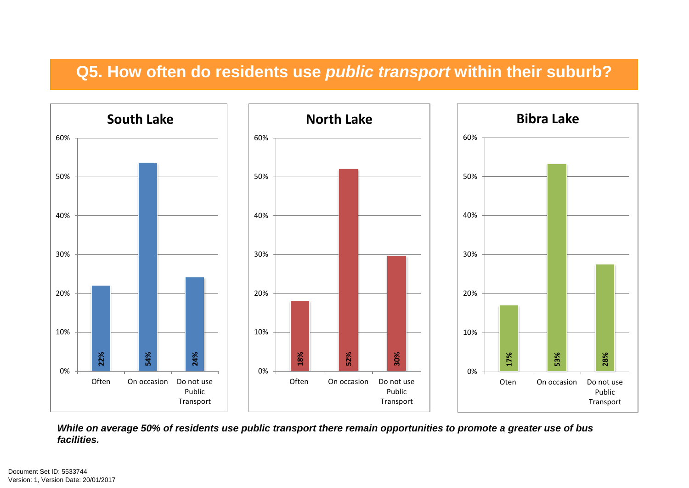#### **Q5. How often do residents use** *public transport* **within their suburb?**



*While on average 50% of residents use public transport there remain opportunities to promote a greater use of bus facilities.*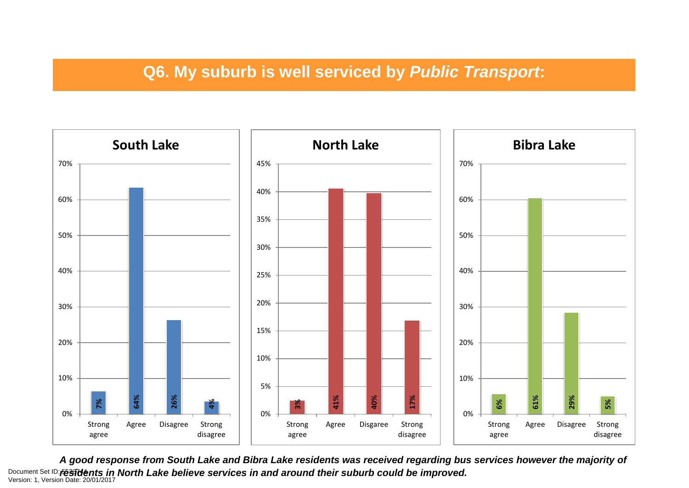# **Q6. My suburb is well serviced by** *Public Transport***:**



*A good response from South Lake and Bibra Lake residents was received regarding bus services however the majority of*  Document Set ID: **ré33idents in North Lake believe services in and around their suburb could be improved.**<br>Version: 1, Version Date: 20/01/2017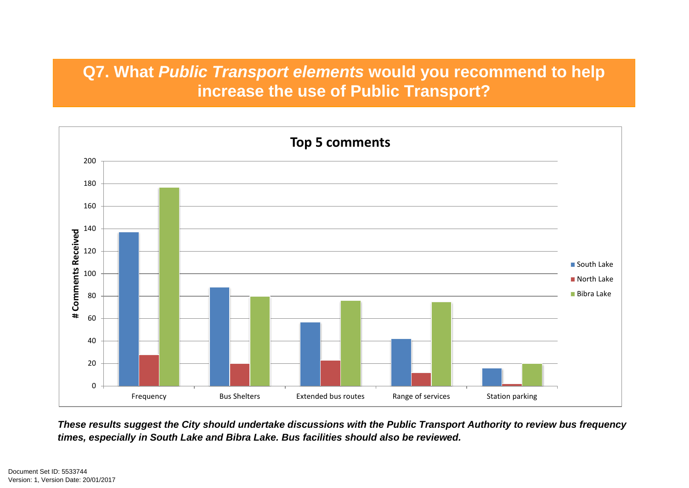### **Q7. What** *Public Transport elements* **would you recommend to help increase the use of Public Transport?**



*These results suggest the City should undertake discussions with the Public Transport Authority to review bus frequency times, especially in South Lake and Bibra Lake. Bus facilities should also be reviewed.*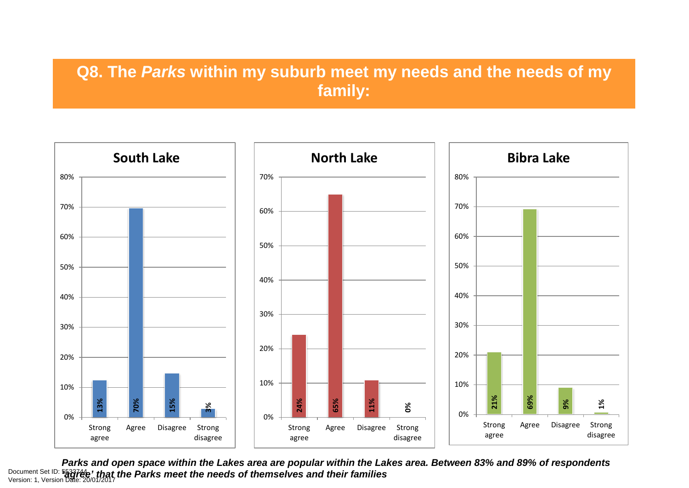### **Q8. The** *Parks* **within my suburb meet my needs and the needs of my family:**



*Parks and open space within the Lakes area are popular within the Lakes area. Between 83% and 89% of respondents*  Document Set ID: 5<mark>53374e' *that the Parks meet the needs of themselves and their families*<br>Version: 1, Version Date: 20/01/2017</mark>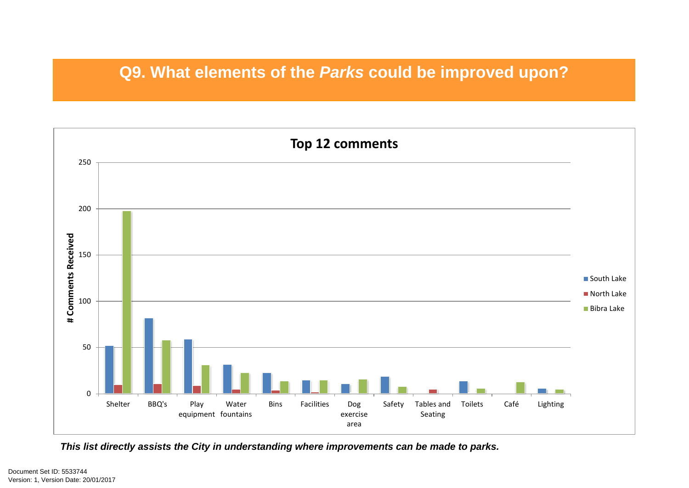#### **Q9. What elements of the** *Parks* **could be improved upon?**



*This list directly assists the City in understanding where improvements can be made to parks.*